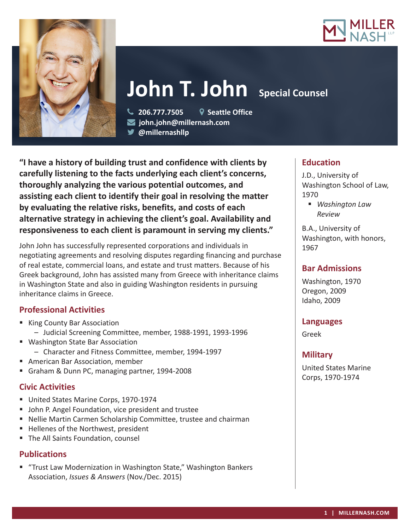



# John T. John Special Counsel

 **206.777.7505 Seattle Office john.john@millernash.com @millernashllp** 

**"I have a history of building trust and confidence with clients by carefully listening to the facts underlying each client's concerns, thoroughly analyzing the various potential outcomes, and assisting each client to identify their goal in resolving the matter by evaluating the relative risks, benefits, and costs of each alternative strategy in achieving the client's goal. Availability and responsiveness to each client is paramount in serving my clients."**

John John has successfully represented corporations and individuals in negotiating agreements and resolving disputes regarding financing and purchase of real estate, commercial loans, and estate and trust matters. Because of his Greek background, John has assisted many from Greece with inheritance claims in Washington State and also in guiding Washington residents in pursuing inheritance claims in Greece.

## **Professional Activities**

- King County Bar Association – Judicial Screening Committee, member, 1988-1991, 1993-1996
- Washington State Bar Association – Character and Fitness Committee, member, 1994-1997
- American Bar Association, member
- Graham & Dunn PC, managing partner, 1994-2008

## **Civic Activities**

- United States Marine Corps, 1970-1974
- **John P. Angel Foundation, vice president and trustee**
- Nellie Martin Carmen Scholarship Committee, trustee and chairman
- Hellenes of the Northwest, president
- **The All Saints Foundation, counsel**

#### **Publications**

■ "Trust Law Modernization in Washington State," Washington Bankers Association, *Issues & Answers* (Nov./Dec. 2015)

## **Education**

J.D., University of Washington School of Law, 1970

 *Washington Law Review*

B.A., University of Washington, with honors, 1967

## **Bar Admissions**

Washington, 1970 Oregon, 2009 Idaho, 2009

#### **Languages**

Greek

#### **Military**

United States Marine Corps, 1970-1974